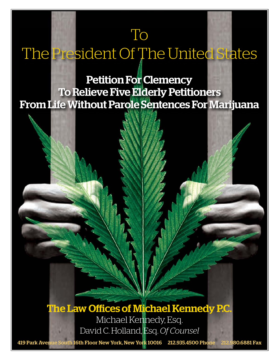# To

# The President Of The United States

# Petition For Clemency To Relieve Five Elderly Petitioners From Life Without Parole Sentences For Marijuana

The Law Offices of Michael Kennedy P.C. Michael Kennedy, Esq. David C. Holland, Esq. *Of Counsel*

419 Park Avenue South 16th Floor New York, New York 10016 212.935.4500 Phone 212.980.6881 Fax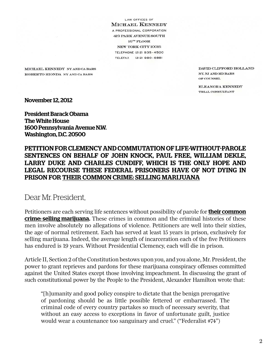LAW OFFICES OF **MICHAEL KENNEDY** A PROFESSIONAL CORPORATION **419 PARK AVENUE SOUTH**  $16<sup>TH</sup>$  FLOOR NEW YORK CITY 10016 **TELEPHONE (212) 935-4500** TELEFAX (212) 980-6881

MICHAEL KENNEDY NY AND CA BARS ROBERTO RIONDA NY AND CA BARS

DAVID CLIFFORD HOLLAND NY, NJ AND MD BARS OF COUNSEL

ELEANORA KENNEDY TRIAL CONSULTANT

November 12, 2012

President Barack Obama The White House 1600 Pennsylvania Avenue N.W. Washington, D.C. 20500

### PETITION FOR CLEMENCY AND COMMUTATION OF LIFE-WITHOUT-PAROLE SENTENCES ON BEHALF OF JOHN KNOCK, PAUL FREE, WILLIAM DEKLE, LARRY DUKE AND CHARLES CUNDIFF, WHICH IS THE ONLY HOPE AND LEGAL RECOURSE THESE FEDERAL PRISONERS HAVE OF NOT DYING IN PRISON FOR THEIR COMMON CRIME: SELLING MARIJUANA

### Dear Mr. President,

Petitioners are each serving life sentences without possibility of parole for **their common** crime: selling marijuana. These crimes in common and the criminal histories of these men involve absolutely no allegations of violence. Petitioners are well into their sixties, the age of normal retirement. Each has served at least 15 years in prison, exclusively for selling marijuana. Indeed, the average length of incarceration each of the five Petitioners has endured is 19 years. Without Presidential Clemency, each will die in prison.

Article II, Section 2 of the Constitution bestows upon you, and you alone, Mr. President, the power to grant reprieves and pardons for these marijuana conspiracy offenses committed against the United States except those involving impeachment. In discussing the grant of such constitutional power by the People to the President, Alexander Hamilton wrote that:

"[h]umanity and good policy conspire to dictate that the benign prerogative of pardoning should be as little possible fettered or embarrassed. The criminal code of every country partakes so much of necessary severity, that without an easy access to exceptions in favor of unfortunate guilt, justice would wear a countenance too sanguinary and cruel." ("Federalist #74")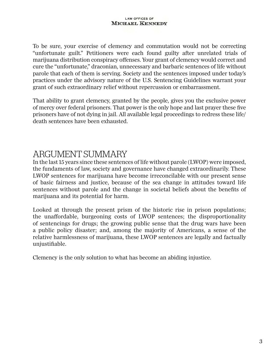To be sure, your exercise of clemency and commutation would not be correcting "unfortunate guilt." Petitioners were each found guilty after unrelated trials of marijuana distribution conspiracy offenses. Your grant of clemency would correct and cure the "unfortunate," draconian, unnecessary and barbaric sentences of life without parole that each of them is serving. Society and the sentences imposed under today's practices under the advisory nature of the U.S. Sentencing Guidelines warrant your grant of such extraordinary relief without repercussion or embarrassment.

That ability to grant clemency, granted by the people, gives you the exclusive power of mercy over federal prisoners. That power is the only hope and last prayer these five prisoners have of not dying in jail. All available legal proceedings to redress these life/ death sentences have been exhausted.

## ARGUMENT SUMMARY

In the last 15 years since these sentences of life without parole (LWOP) were imposed, the fundaments of law, society and governance have changed extraordinarily. These LWOP sentences for marijuana have become irreconcilable with our present sense of basic fairness and justice, because of the sea change in attitudes toward life sentences without parole and the change in societal beliefs about the benefits of marijuana and its potential for harm.

Looked at through the present prism of the historic rise in prison populations; the unaffordable, burgeoning costs of LWOP sentences; the disproportionality of sentencings for drugs; the growing public sense that the drug wars have been a public policy disaster; and, among the majority of Americans, a sense of the relative harmlessness of marijuana, these LWOP sentences are legally and factually unjustifiable.

Clemency is the only solution to what has become an abiding injustice.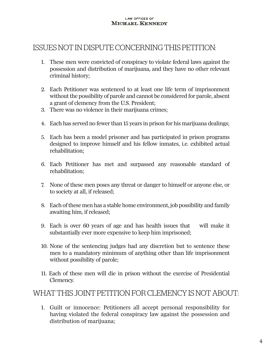### ISSUES NOT IN DISPUTE CONCERNING THIS PETITION:

- 1. These men were convicted of conspiracy to violate federal laws against the possession and distribution of marijuana, and they have no other relevant criminal history;
- 2. Each Petitioner was sentenced to at least one life term of imprisonment without the possibility of parole and cannot be considered for parole, absent a grant of clemency from the U.S. President;
- 3. There was no violence in their marijuana crimes;
- 4. Each has served no fewer than 15 years in prison for his marijuana dealings;
- 5. Each has been a model prisoner and has participated in prison programs designed to improve himself and his fellow inmates, i.e. exhibited actual rehabilitation;
- 6. Each Petitioner has met and surpassed any reasonable standard of rehabilitation;
- 7. None of these men poses any threat or danger to himself or anyone else, or to society at all, if released;
- 8. Each of these men has a stable home environment, job possibility and family awaiting him, if released;
- 9. Each is over 60 years of age and has health issues that will make it substantially ever more expensive to keep him imprisoned;
- 10. None of the sentencing judges had any discretion but to sentence these men to a mandatory minimum of anything other than life imprisonment without possibility of parole;
- 11. Each of these men will die in prison without the exercise of Presidential Clemency.

### WHAT THIS JOINT PETITION FOR CLEMENCY IS NOT ABOUT:

1. Guilt or innocence: Petitioners all accept personal responsibility for having violated the federal conspiracy law against the possession and distribution of marijuana;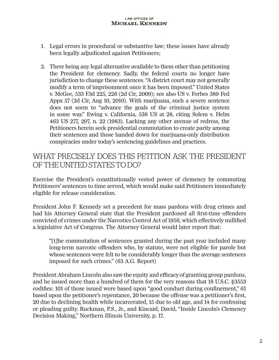- 1. Legal errors in procedural or substantive law; these issues have already been legally adjudicated against Petitioners;
- 2. There being any legal alternative available to them other than petitioning the President for clemency. Sadly, the federal courts no longer have jurisdiction to change these sentences. "A district court may not generally modify a term of imprisonment once it has been imposed." United States v. McGee, 533 F3d 225, 226 (2d Cir, 2009); see also US v. Forbes 389 Fed Appx 57 (2d Cir, Aug 10, 2010). With marijuana, such a severe sentence does not seem to "advance the goals of the criminal justice system in some way." Ewing v. California, 538 US at 28, citing Solem v. Helm 463 US 277, 297, n. 22 (1983). Lacking any other avenue of redress, the Petitioners herein seek presidential commutation to create parity among their sentences and those handed down for marijuana-only distribution conspiracies under today's sentencing guidelines and practices.

### WHAT PRECISELY DOES THIS PETITION ASK THE PRESIDENT OF THE UNITED STATES TO DO?

Exercise the President's constitutionally vested power of clemency by commuting Petitioners' sentences to time served, which would make said Petitioners immediately eligible for release consideration.

President John F. Kennedy set a precedent for mass pardons with drug crimes and had his Attorney General state that the President pardoned all first-time offenders convicted of crimes under the Narcotics Control Act of 1956, which effectively nullified a legislative Act of Congress. The Attorney General would later report that:

"[t]he commutation of sentences granted during the past year included many long-term narcotic offenders who, by statute, were not eligible for parole but whose sentences were felt to be considerably longer than the average sentences imposed for such crimes." (63 A.G. Report)

President Abraham Lincoln also saw the equity and efficacy of granting group pardons, and he issued more than a hundred of them for the very reasons that 18 U.S.C. §3553 codifies: 101 of those issued were based upon "good conduct during confinement," 61 based upon the petitioner's repentance, 20 because the offense was a petitioner's first, 20 due to declining health while incarcerated, 15 due to old age, and 14 for confessing or pleading guilty. Ruckman, P.S., Jr., and Kincaid, David, "Inside Lincoln's Clemency Decision Making," Northern Illinois University, p. 17.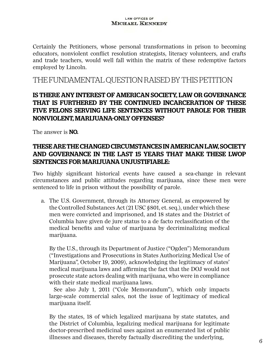Certainly the Petitioners, whose personal transformations in prison to becoming educators, nonviolent conflict resolution strategists, literacy volunteers, and crafts and trade teachers, would well fall within the matrix of these redemptive factors employed by Lincoln.

### THE FUNDAMENTAL QUESTION RAISED BY THIS PETITION

### IS THERE ANY INTEREST OF AMERICAN SOCIETY, LAW OR GOVERNANCE THAT IS FURTHERED BY THE CONTINUED INCARCERATION OF THESE FIVE FELONS SERVING LIFE SENTENCES WITHOUT PAROLE FOR THEIR NONVIOLENT, MARIJUANA-ONLY OFFENSES?

The answer is **NO.** 

### THESE ARE THE CHANGED CIRCUMSTANCES IN AMERICAN LAW, SOCIETY AND GOVERNANCE IN THE LAST 15 YEARS THAT MAKE THESE LWOP SENTENCES FOR MARIJUANA UNJUSTIFIABLE:

Two highly significant historical events have caused a sea-change in relevant circumstances and public attitudes regarding marijuana, since these men were sentenced to life in prison without the possibility of parole.

a. The U.S. Government, through its Attorney General, as empowered by the Controlled Substances Act (21 USC §801, et. seq.), under which these men were convicted and imprisoned, and 18 states and the District of Columbia have given de jure status to a de facto reclassification of the medical benefits and value of marijuana by decriminalizing medical marijuana.

By the U.S., through its Department of Justice ("Ogden") Memorandum ("Investigations and Prosecutions in States Authorizing Medical Use of Marijuana", October 19, 2009), acknowledging the legitimacy of states' medical marijuana laws and affirming the fact that the DOJ would not prosecute state actors dealing with marijuana, who were in compliance with their state medical marijuana laws.

See also July 1, 2011 ("Cole Memorandum"), which only impacts large-scale commercial sales, not the issue of legitimacy of medical marijuana itself.

By the states, 18 of which legalized marijuana by state statutes, and the District of Columbia, legalizing medical marijuana for legitimate doctor-prescribed medicinal uses against an enumerated list of public illnesses and diseases, thereby factually discrediting the underlying,  $\overline{6}$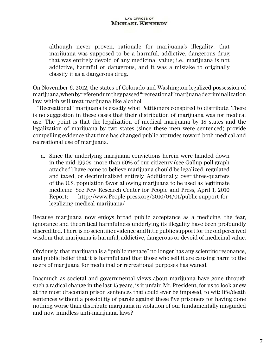although never proven, rationale for marijuana's illegality: that marijuana was supposed to be a harmful, addictive, dangerous drug that was entirely devoid of any medicinal value; i.e., marijuana is not addictive, harmful or dangerous, and it was a mistake to originally classify it as a dangerous drug.

On November 6, 2012, the states of Colorado and Washington legalized possession of marijuana, when by referendum they passed "recreational" marijuana decriminalization law, which will treat marijuana like alcohol.

"Recreational" marijuana is exactly what Petitioners conspired to distribute. There is no suggestion in these cases that their distribution of marijuana was for medical use. The point is that the legalization of medical marijuana by 18 states and the legalization of marijuana by two states (since these men were sentenced) provide compelling evidence that time has changed public attitudes toward both medical and recreational use of marijuana.

a. Since the underlying marijuana convictions herein were handed down in the mid-1990s, more than 50% of our citizenry (see Gallup poll graph attached] have come to believe marijuana should be legalized, regulated and taxed, or decriminalized entirely. Additionally, over three-quarters of the U.S. population favor allowing marijuana to be used as legitimate medicine. See Pew Research Center for People and Press, April 1, 2010 Report; http://www.People-press.org/2010/04/01/public-support-forlegalizing-medical-marijuana/

Because marijuana now enjoys broad public acceptance as a medicine, the fear, ignorance and theoretical harmfulness underlying its illegality have been profoundly discredited. There is no scientific evidence and little public support for the old perceived wisdom that marijuana is harmful, addictive, dangerous or devoid of medicinal value.

Obviously, that marijuana is a "public menace" no longer has any scientific resonance, and public belief that it is harmful and that those who sell it are causing harm to the users of marijuana for medicinal or recreational purposes has waned.

Inasmuch as societal and governmental views about marijuana have gone through such a radical change in the last 15 years, is it unfair, Mr. President, for us to look anew at the most draconian prison sentences that could ever be imposed, to wit: life/death sentences without a possibility of parole against these five prisoners for having done nothing worse than distribute marijuana in violation of our fundamentally misguided and now mindless anti-marijuana laws?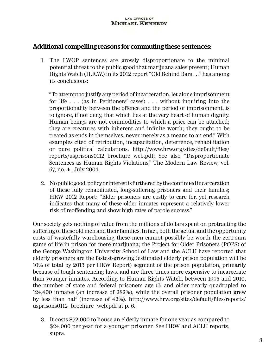### Additional compelling reasons for commuting these sentences:

1. The LWOP sentences are grossly disproportionate to the minimal potential threat to the public good that marijuana sales present; Human Rights Watch (H.R.W.) in its 2012 report "Old Behind Bars . . ." has among its conclusions:

"To attempt to justify any period of incarceration, let alone imprisonment for life . . . (as in Petitioners' cases) . . . without inquiring into the proportionality between the offence and the period of imprisonment, is to ignore, if not deny, that which lies at the very heart of human dignity. Human beings are not commodities to which a price can be attached; they are creatures with inherent and infinite worth; they ought to be treated as ends in themselves, never merely as a means to an end." With examples cited of retribution, incapacitation, deterrence, rehabilitation or pure political calculations. http://www.hrw.org/sites/default/files/ reports/usprisons0112\_brochure\_web.pdf; See also "Disproportionate Sentences as Human Rights Violations," The Modern Law Review, vol. 67, no. 4 , July 2004.

2. No public good, policy or interest is furthered by the continued incarceration of these fully rehabilitated, long-suffering prisoners and their families; HRW 2012 Report: "Elder prisoners are costly to care for, yet research indicates that many of these older inmates represent a relatively lower risk of reoffending and show high rates of parole success."

Our society gets nothing of value from the millions of dollars spent on protracting the suffering of these old men and their families. In fact, both the actual and the opportunity costs of wastefully warehousing these men cannot possibly be worth the zero-sum game of life in prison for mere marijuana; the Project for Older Prisoners (POPS) of the George Washington University School of Law and the ACLU have reported that elderly prisoners are the fastest-growing (estimated elderly prison population will be 10% of total by 2013 per HRW Report) segment of the prison population, primarily because of tough sentencing laws, and are three times more expensive to incarcerate than younger inmates. According to Human Rights Watch, between 1995 and 2010, the number of state and federal prisoners age 55 and older nearly quadrupled to 124,400 inmates (an increase of 282%), while the overall prisoner population grew by less than half (increase of 42%). http://www.hrw.org/sites/default/files/reports/ usprisons0112\_brochure\_web.pdf at p. 6.

3. It costs \$72,000 to house an elderly inmate for one year as compared to \$24,000 per year for a younger prisoner. See HRW and ACLU reports, supra.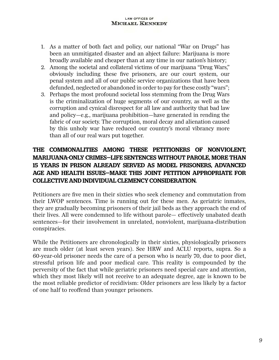- 1. As a matter of both fact and policy, our national "War on Drugs" has been an unmitigated disaster and an abject failure: Marijuana is more broadly available and cheaper than at any time in our nation's history;
- 2. Among the societal and collateral victims of our marijuana "Drug Wars," obviously including these five prisoners, are our court system, our penal system and all of our public service organizations that have been defunded, neglected or abandoned in order to pay for these costly "wars";
- 3. Perhaps the most profound societal loss stemming from the Drug Wars is the criminalization of huge segments of our country, as well as the corruption and cynical disrespect for all law and authority that bad law and policy—e.g., marijuana prohibition—have generated in rending the fabric of our society. The corruption, moral decay and alienation caused by this unholy war have reduced our country's moral vibrancy more than all of our real wars put together.

### THE COMMONALITIES AMONG THESE PETITIONERS OF NONVIOLENT, MARIJUANA-ONLY CRIMES—LIFE SENTENCES WITHOUT PAROLE, MORE THAN 15 YEARS IN PRISON ALREADY SERVED AS MODEL PRISONERS, ADVANCED AGE AND HEALTH ISSUES—MAKE THIS JOINT PETITION APPROPRIATE FOR COLLECTIVE AND INDIVIDUAL CLEMENCY CONSIDERATION.

Petitioners are five men in their sixties who seek clemency and commutation from their LWOP sentences. Time is running out for these men. As geriatric inmates, they are gradually becoming prisoners of their jail beds as they approach the end of their lives. All were condemned to life without parole— effectively unabated death sentences—for their involvement in unrelated, nonviolent, marijuana-distribution conspiracies.

While the Petitioners are chronologically in their sixties, physiologically prisoners are much older (at least seven years). See HRW and ACLU reports, supra. So a 60-year-old prisoner needs the care of a person who is nearly 70, due to poor diet, stressful prison life and poor medical care. This reality is compounded by the perversity of the fact that while geriatric prisoners need special care and attention, which they most likely will not receive to an adequate degree, age is known to be the most reliable predictor of recidivism: Older prisoners are less likely by a factor of one half to reoffend than younger prisoners.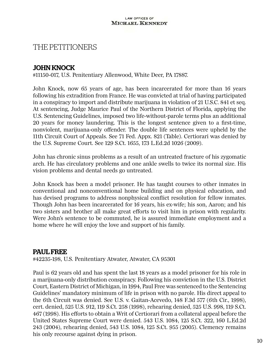### THE PETITIONERS

### JOHN KNOCK

#11150-017, U.S. Penitentiary Allenwood, White Deer, PA 17887.

John Knock, now 65 years of age, has been incarcerated for more than 16 years following his extradition from France. He was convicted at trial of having participated in a conspiracy to import and distribute marijuana in violation of 21 U.S.C. 841 et seq. At sentencing, Judge Maurice Paul of the Northern District of Florida, applying the U.S. Sentencing Guidelines, imposed two life-without-parole terms plus an additional 20 years for money laundering. This is the longest sentence given to a first-time, nonviolent, marijuana-only offender. The double life sentences were upheld by the 11th Circuit Court of Appeals. See 71 Fed. Appx. 821 (Table). Certiorari was denied by the U.S. Supreme Court. See 129 S.Ct. 1655, 173 L.Ed.2d 1026 (2009).

John has chronic sinus problems as a result of an untreated fracture of his zygomatic arch. He has circulatory problems and one ankle swells to twice its normal size. His vision problems and dental needs go untreated.

John Knock has been a model prisoner. He has taught courses to other inmates in conventional and nonconventional home building and on physical education, and has devised programs to address nonphysical conflict resolution for fellow inmates. Though John has been incarcerated for 16 years, his ex-wife; his son, Aaron; and his two sisters and brother all make great efforts to visit him in prison with regularity. Were John's sentence to be commuted, he is assured immediate employment and a home where he will enjoy the love and support of his family.

### PAUL FREE

#42235-198, U.S. Penitentiary Atwater, Atwater, CA 95301

Paul is 62 years old and has spent the last 18 years as a model prisoner for his role in a marijuana-only distribution conspiracy. Following his conviction in the U.S. District Court, Eastern District of Michigan, in 1994, Paul Free was sentenced to the Sentencing Guidelines' mandatory minimum of life in prison with no parole. His direct appeal to the 6th Circuit was denied. See U.S. v. Gaitan-Acevedo, 148 F.3d 577 (6th Cir., 1998), cert. denied, 525 U.S. 912, 119 S.Ct. 258 (1998), rehearing denied, 525 U.S. 998, 119 S.Ct. 467 (1998). His efforts to obtain a Writ of Certiorari from a collateral appeal before the United States Supreme Court were denied. 543 U.S. 1084, 125 S.Ct. 322, 160 L.Ed.2d 243 (2004), rehearing denied, 543 U.S. 1084, 125 S.Ct. 955 (2005). Clemency remains his only recourse against dying in prison.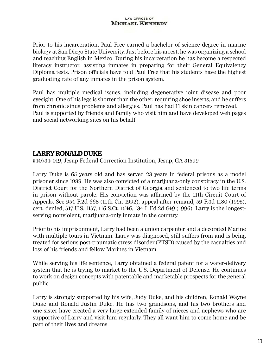Prior to his incarceration, Paul Free earned a bachelor of science degree in marine biology at San Diego State University. Just before his arrest, he was organizing a school and teaching English in Mexico. During his incarceration he has become a respected literacy instructor, assisting inmates in preparing for their General Equivalency Diploma tests. Prison officials have told Paul Free that his students have the highest graduating rate of any inmates in the prison system.

Paul has multiple medical issues, including degenerative joint disease and poor eyesight. One of his legs is shorter than the other, requiring shoe inserts, and he suffers from chronic sinus problems and allergies. Paul has had 11 skin cancers removed. Paul is supported by friends and family who visit him and have developed web pages and social networking sites on his behalf.

### LARRY RONALD DUKE

#40734-019, Jesup Federal Correction Institution, Jesup, GA 31599

Larry Duke is 65 years old and has served 23 years in federal prisons as a model prisoner since 1989. He was also convicted of a marijuana-only conspiracy in the U.S. District Court for the Northern District of Georgia and sentenced to two life terms in prison without parole. His conviction was affirmed by the 11th Circuit Court of Appeals. See 954 F.2d 668 (11th Cir. 1992), appeal after remand, 59 F.3d 1180 (1995), cert. denied, 517 U.S. 1157, 116 S.Ct. 1546, 134 L.Ed.2d 649 (1996). Larry is the longestserving nonviolent, marijuana-only inmate in the country.

Prior to his imprisonment, Larry had been a union carpenter and a decorated Marine with multiple tours in Vietnam. Larry was diagnosed, still suffers from and is being treated for serious post-traumatic stress disorder (PTSD) caused by the casualties and loss of his friends and fellow Marines in Vietnam.

While serving his life sentence, Larry obtained a federal patent for a water-delivery system that he is trying to market to the U.S. Department of Defense. He continues to work on design concepts with patentable and marketable prospects for the general public.

Larry is strongly supported by his wife, Judy Duke, and his children, Ronald Wayne Duke and Ronald Justin Duke. He has two grandsons, and his two brothers and one sister have created a very large extended family of nieces and nephews who are supportive of Larry and visit him regularly. They all want him to come home and be part of their lives and dreams.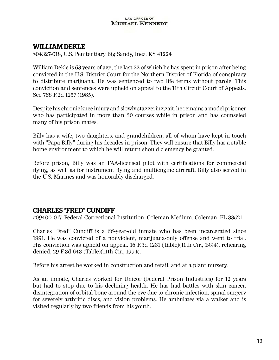### WILLIAM DEKLE

#04327-018, U.S. Penitentiary Big Sandy, Inez, KY 41224

William Dekle is 63 years of age; the last 22 of which he has spent in prison after being convicted in the U.S. District Court for the Northern District of Florida of conspiracy to distribute marijuana. He was sentenced to two life terms without parole. This conviction and sentences were upheld on appeal to the 11th Circuit Court of Appeals. See 768 F.2d 1257 (1985).

Despite his chronic knee injury and slowly staggering gait, he remains a model prisoner who has participated in more than 30 courses while in prison and has counseled many of his prison mates.

Billy has a wife, two daughters, and grandchildren, all of whom have kept in touch with "Papa Billy" during his decades in prison. They will ensure that Billy has a stable home environment to which he will return should clemency be granted.

Before prison, Billy was an FAA-licensed pilot with certifications for commercial flying, as well as for instrument flying and multiengine aircraft. Billy also served in the U.S. Marines and was honorably discharged.

### CHARLES "FRED" CUNDIFF

#09400-017, Federal Correctional Institution, Coleman Medium, Coleman, FL 33521

Charles "Fred" Cundiff is a 66-year-old inmate who has been incarcerated since 1991. He was convicted of a nonviolent, marijuana-only offense and went to trial. His conviction was upheld on appeal. 16 F.3d 1231 (Table)(11th Cir., 1994), rehearing denied, 29 F.3d 643 (Table)(11th Cir., 1994).

Before his arrest he worked in construction and retail, and at a plant nursery.

As an inmate, Charles worked for Unicor (Federal Prison Industries) for 12 years but had to stop due to his declining health. He has had battles with skin cancer, disintegration of orbital bone around the eye due to chronic infection, spinal surgery for severely arthritic discs, and vision problems. He ambulates via a walker and is visited regularly by two friends from his youth.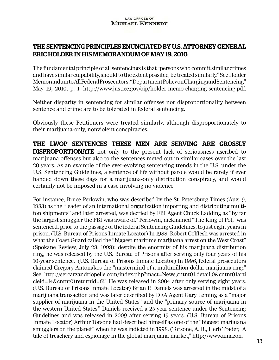### THE SENTENCING PRINCIPLES ENUNCIATED BY U.S. ATTORNEY GENERAL ERIC HOLDER IN HIS MEMORANDUM OF MAY 19, 2010.

The fundamental principle of all sentencings is that "persons who commit similar crimes and have similar culpability, should to the extent possible, be treated similarly." See Holder Memorandum to All Federal Prosecutors: "Department Policy on Charging and Sentencing" May 19, 2010, p. 1. http://www.justice.gov/oip/holder-memo-charging-sentencing.pdf.

Neither disparity in sentencing for similar offenses nor disproportionality between sentence and crime are to be tolerated in federal sentencing.

Obviously these Petitioners were treated similarly, although disproportionately to their marijuana-only, nonviolent conspiracies.

THE LWOP SENTENCES THESE MEN ARE SERVING ARE GROSSLY DISPROPORTIONATE not only to the present lack of seriousness ascribed to marijuana offenses but also to the sentences meted out in similar cases over the last 20 years. As an example of the ever-evolving sentencing trends in the U.S. under the U.S. Sentencing Guidelines, a sentence of life without parole would be rarely if ever handed down these days for a marijuana-only distribution conspiracy, and would certainly not be imposed in a case involving no violence.

For instance, Bruce Perlowin, who was described by the St. Petersburg Times (Aug. 9, 1983) as the "leader of an international organization importing and distributing multiton shipments" and later arrested, was decried by FBI Agent Chuck Ladding as "by far the largest smuggler the FBI was aware of." Perlowin, nicknamed "The King of Pot," was sentenced, prior to the passage of the federal Sentencing Guidelines, to just eight years in prison. (U.S. Bureau of Prisons Inmate Locator) In 1988, Robert Colflesh was arrested in what the Coast Guard called the "biggest maritime marijuana arrest on the West Coast" (Spokane Review, July 28, 1998); despite the enormity of his marijuana distribution ring, he was released by the U.S. Bureau of Prisons after serving only four years of his 10-year sentence. (U.S. Bureau of Prisons Inmate Locator) In 1996, federal prosecutors claimed Gregory Antonakos the "mastermind of a multimillion-dollar marijuana ring." See http://sercarzandriopelle.com/index.php?mact=News,cntnt01,detail,0&cntnt01arti cleid=14&cntnt01returnid=65. He was released in 2004 after only serving eight years. (U.S. Bureau of Prisons Inmate Locator) Brian P. Daniels was arrested in the midst of a marijuana transaction and was later described by DEA Agent Gary Leming as a "major supplier of marijuana in the United States" and the "primary source of marijuana in the western United States." Daniels received a 25-year sentence under the Sentencing Guidelines and was released in 2009 after serving 19 years. (U.S. Bureau of Prisons Inmate Locator) Arthur Torsone had described himself as one of the "biggest marijuana smugglers on the planet" when he was indicted in 1998. (Torsone, A. R., Herb Trader, "A tale of treachery and espionage in the global marijuana market," http://www.amazon.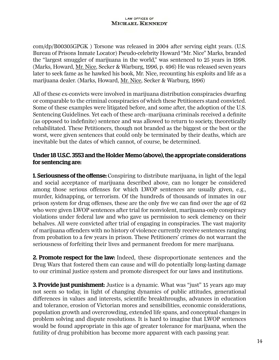com/dp/B00305GPGK ) Torsone was released in 2004 after serving eight years. (U.S. Bureau of Prisons Inmate Locator) Pseudo-celebrity Howard "Mr. Nice" Marks, branded the "largest smuggler of marijuana in the world," was sentenced to 25 years in 1998. (Marks, Howard, Mr. Nice, Secker & Warburg, 1996, p. 496) He was released seven years later to seek fame as he hawked his book, Mr. Nice, recounting his exploits and life as a marijuana dealer. (Marks, Howard, Mr. Nice, Secker & Warburg, 1996)

All of these ex-convicts were involved in marijuana distribution conspiracies dwarfing or comparable to the criminal conspiracies of which these Petitioners stand convicted. Some of these examples were litigated before, and some after, the adoption of the U.S. Sentencing Guidelines. Yet each of these arch–marijuana criminals received a definite (as opposed to indefinite) sentence and was allowed to return to society, theoretically rehabilitated. These Petitioners, though not branded as the biggest or the best or the worst, were given sentences that could only be terminated by their deaths, which are inevitable but the dates of which cannot, of course, be determined.

### Under 18 U.S.C. 3553 and the Holder Memo (above), the appropriate considerations for sentencing are:

**1. Seriousness of the offense:** Conspiring to distribute marijuana, in light of the legal and social acceptance of marijuana described above, can no longer be considered among those serious offenses for which LWOP sentences are usually given, e.g., murder, kidnapping, or terrorism. Of the hundreds of thousands of inmates in our prison system for drug offenses, these are the only five we can find over the age of 62 who were given LWOP sentences after trial for nonviolent, marijuana-only conspiracy violations under federal law and who gave us permission to seek clemency on their behalves. All were convicted after trial of engaging in conspiracies. The vast majority of marijuana offenders with no history of violence currently receive sentences ranging from probation to a few years in prison. These Petitioners' crimes do not warrant the seriousness of forfeiting their lives and permanent freedom for mere marijuana.

**2. Promote respect for the law:** Indeed, these disproportionate sentences and the Drug Wars that fostered them can cause and will do potentially long-lasting damage to our criminal justice system and promote disrespect for our laws and institutions.

**3. Provide just punishment:** Justice is a dynamic. What was "just" 15 years ago may not seem so today, in light of changing dynamics of public attitudes, generational differences in values and interests, scientific breakthroughs, advances in education and tolerance, erosion of Victorian mores and sensibilities, economic considerations, population growth and overcrowding, extended life spans, and conceptual changes in problem solving and dispute resolutions. It is hard to imagine that LWOP sentences would be found appropriate in this age of greater tolerance for marijuana, when the futility of drug prohibition has become more apparent with each passing year.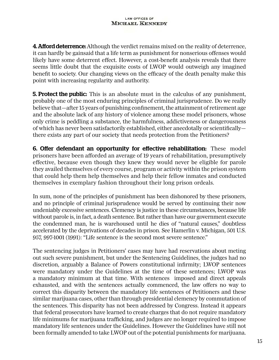**4. Afford deterrence:** Although the verdict remains mixed on the reality of deterrence, it can hardly be gainsaid that a life term as punishment for nonserious offenses would likely have some deterrent effect. However, a cost-benefit analysis reveals that there seems little doubt that the exquisite costs of LWOP would outweigh any imagined benefit to society. Our changing views on the efficacy of the death penalty make this point with increasing regularity and authority.

**5. Protect the public:** This is an absolute must in the calculus of any punishment, probably one of the most enduring principles of criminal jurisprudence. Do we really believe that—after 15 years of punishing confinement, the attainment of retirement age and the absolute lack of any history of violence among these model prisoners, whose only crime is peddling a substance, the harmfulness, addictiveness or dangerousness of which has never been satisfactorily established, either anecdotally or scientifically there exists any part of our society that needs protection from the Petitioners?

6. Offer defendant an opportunity for effective rehabilitation: These model prisoners have been afforded an average of 19 years of rehabilitation, presumptively effective, because even though they knew they would never be eligible for parole they availed themselves of every course, program or activity within the prison system that could help them help themselves and help their fellow inmates and conducted themselves in exemplary fashion throughout their long prison ordeals.

In sum, none of the principles of punishment has been dishonored by these prisoners, and no principle of criminal jurisprudence would be served by continuing their now undeniably excessive sentences. Clemency is justice in these circumstances, because life without parole is, in fact, a death sentence. But rather than have our government execute the condemned man, he is warehoused until he dies of "natural causes," doubtless accelerated by the deprivations of decades in prison. See Hamerlin v. Michigan, 501 U.S. 957, 997-1001 (1991): "Life sentence is the second most severe sentence."

The sentencing judges in Petitioners' cases may have had reservations about meting out such severe punishment, but under the Sentencing Guidelines, the judges had no discretion, arguably a Balance of Powers constitutional infirmity; LWOP sentences were mandatory under the Guidelines at the time of these sentences; LWOP was a mandatory minimum at that time. With sentences imposed and direct appeals exhausted, and with the sentences actually commenced, the law offers no way to correct this disparity between the mandatory life sentences of Petitioners and these similar marijuana cases, other than through presidential clemency by commutation of the sentences. This disparity has not been addressed by Congress. Instead it appears that federal prosecutors have learned to create charges that do not require mandatory life minimums for marijuana trafficking, and judges are no longer required to impose mandatory life sentences under the Guidelines. However the Guidelines have still not been formally amended to take LWOP out of the potential punishments for marijuana.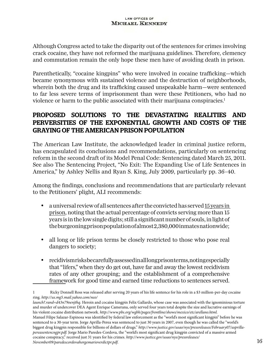Although Congress acted to take the disparity out of the sentences for crimes involving crack cocaine, they have not reformed the marijuana guidelines. Therefore, clemency and commutation remain the only hope these men have of avoiding death in prison.

Parenthetically, "cocaine kingpins" who were involved in cocaine trafficking—which became synonymous with sustained violence and the destruction of neighborhoods, wherein both the drug and its trafficking caused unspeakable harm—were sentenced to far less severe terms of imprisonment than were these Petitioners, who had no violence or harm to the public associated with their marijuana conspiracies.<sup>1</sup>

### PROPOSED SOLUTIONS TO THE DEVASTATING REALITIES AND PERVERSITIES OF THE EXPONENTIAL GROWTH AND COSTS OF THE GRAYING OF THE AMERICAN PRISON POPULATION

The American Law Institute, the acknowledged leader in criminal justice reform, has encapsulated its conclusions and recommendations, particularly on sentencing reform in the second draft of its Model Penal Code: Sentencing dated March 25, 2011. See also The Sentencing Project, "No Exit: The Expanding Use of Life Sentences in America," by Ashley Nellis and Ryan S. King, July 2009, particularly pp. 36–40.

Among the findings, conclusions and recommendations that are particularly relevant to the Petitioners' plight, ALI recommends:

- • a universal review of all sentences after the convicted has served 15 years in prison, noting that the actual percentage of convicts serving more than 15 years is in the low single digits; still a significant number of souls, in light of the burgeoning prison population of almost 2,380,000 inmates nationwide;
- • all long or life prison terms be closely restricted to those who pose real dangers to society;
- recidivism risks be carefully assessed in all long prison terms, noting especially that "lifers," when they do get out, have far and away the lowest recidivism rates of any other grouping; and the establishment of a comprehensive framework for good time and earned time reductions to sentences served.

<sup>1</sup> Ricky Donnell Ross was released after serving 20 years of his life sentence for his role in a \$3 million-per-day cocaine ring. *http://us.mg5.mail.yahoo.com/neo/*

*launch?.rand=d43n79oenjthq*. Heroin and cocaine kingpin Felix Gallardo, whose case was associated with the ignominious torture and murder of undercover DEA Agent Enrique Camerana, only served four years total despite the size and lucrative earnings of his violent cocaine distribution network. *http://www.pbs.org/wgbh/pages/frontline/shows/mexico/etc/arellano.html.* Manuel Filipe Salazar-Espinosa was identified by federal law enforcement as the "world's most significant kingpin" before he was sentenced to a 30-year term. Jorge Aprilla-Perea was sentenced to just 30 years in 2007, even though he was called the "world's biggest drug kingpin responsible for billions of dollars of drugs." *http://www.justice.gov/usao/nys/pressreleases/February07/asprillapereasentencngpr.pdf.* Jorge Mario Paredes-Cordova, the "world's most significant drug kingpin convicted of a massive armed cocaine conspiracy," received just 31 years for his crimes. *http://www.justice.gov/usao/nys/pressreleases/ November09/paredescordovahorgemarioverdictpr.pdf*. 16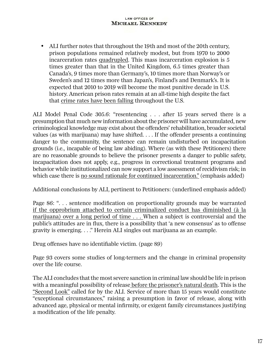• ALI further notes that throughout the 19th and most of the 20th century, prison populations remained relatively modest, but from 1970 to 2000 incarceration rates quadrupled. This mass incarceration explosion is 5 times greater than that in the United Kingdom, 6.5 times greater than Canada's, 9 times more than Germany's, 10 times more than Norway's or Sweden's and 12 times more than Japan's, Finland's and Denmark's. It is expected that 2010 to 2019 will become the most punitive decade in U.S. history. American prison rates remain at an all-time high despite the fact that crime rates have been falling throughout the U.S.

ALI Model Penal Code 305.6: "resentencing . . . after 15 years served there is a presumption that much new information about the prisoner will have accumulated, new criminological knowledge may exist about the offenders' rehabilitation, broader societal values (as with marijuana) may have shifted. . . . If the offender presents a continuing danger to the community, the sentence can remain undisturbed on incapacitation grounds (i.e., incapable of being law abiding). Where (as with these Petitioners) there are no reasonable grounds to believe the prisoner presents a danger to public safety, incapacitation does not apply, e.g., progress in correctional treatment programs and behavior while institutionalized can now support a low assessment of recidivism risk; in which case there is no sound rationale for continued incarceration." (emphasis added)

Additional conclusions by ALI, pertinent to Petitioners: (underlined emphasis added)

Page 86: "... sentence modification on proportionality grounds may be warranted if the opprobrium attached to certain criminalized conduct has diminished (à la marijuana) over a long period of time . . . When a subject is controversial and the public's attitudes are in flux, there is a possibility that 'a new consensus' as to offense gravity is emerging. . . ." Herein ALI singles out marijuana as an example.

Drug offenses have no identifiable victim. (page 89)

Page 93 covers some studies of long-termers and the change in criminal propensity over the life course.

The ALI concludes that the most severe sanction in criminal law should be life in prison with a meaningful possibility of release before the prisoner's natural death. This is the "Second Look" called for by the ALI. Service of more than 15 years would constitute "exceptional circumstances," raising a presumption in favor of release, along with advanced age, physical or mental infirmity, or exigent family circumstances justifying a modification of the life penalty.